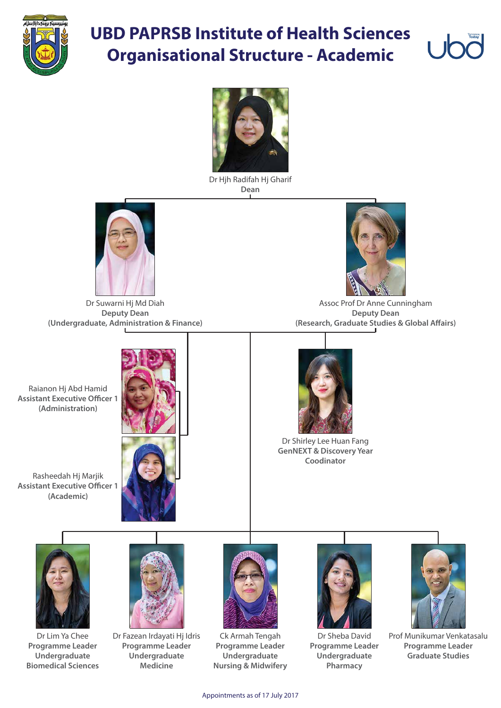

## **UBD PAPRSB Institute of Health Sciences Organisational Structure - Academic**



Raianon Hj Abd Hamid **Assistant Executive Officer 1 (Administration)**



Assoc Prof Dr Anne Cunningham **Deputy Dean (Research, Graduate Studies & Global Affairs)** 

Rasheedah Hj Marjik **Assistant Executive Officer 1 (Academic)**





Dr Hjh Radifah Hj Gharif **Dean**



Dr Suwarni Hj Md Diah **Deputy Dean (Undergraduate, Administration & Finance)**





Dr Shirley Lee Huan Fang **GenNEXT & Discovery Year Coodinator**



Prof Munikumar Venkatasalu **Programme Leader Graduate Studies**

Dr Sheba David **Programme Leader Undergraduate Pharmacy**









Dr Fazean Irdayati Hj Idris **Programme Leader Undergraduate Medicine**



Dr Lim Ya Chee **Programme Leader Undergraduate Biomedical Sciences**

Appointments as of 17 July 2017